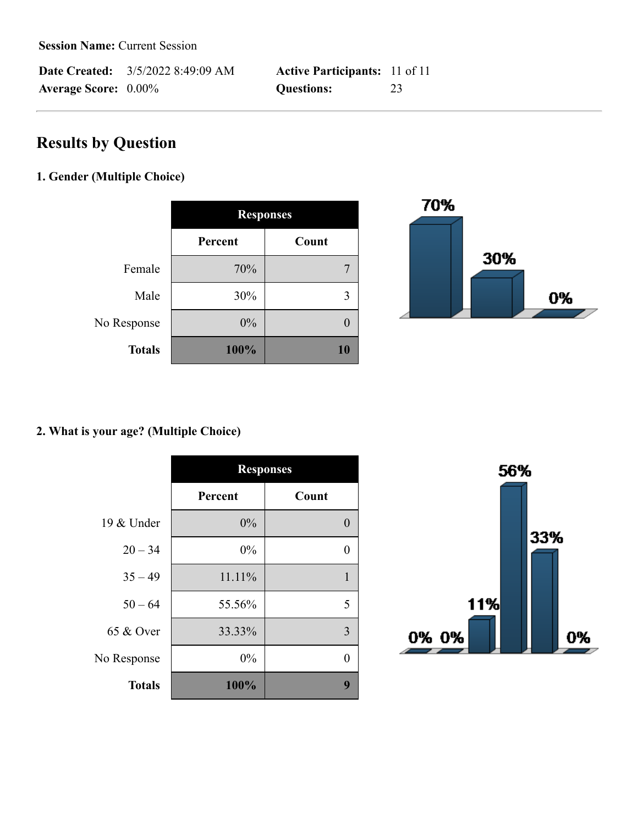**Date Created:** 3/5/2022 8:49:09 AM **Active Participants:** 11 of 11 **Average Score:** 0.00% **Questions:** 23

# **Results by Question**

### **1. Gender (Multiple Choice)**

|               | <b>Responses</b> |       |
|---------------|------------------|-------|
|               | Percent          | Count |
| Female        | 70%              |       |
| Male          | 30%              |       |
| No Response   | 0%               |       |
| <b>Totals</b> | 100%             | 10    |



### **2. What is your age? (Multiple Choice)**

|               | <b>Responses</b> |              |
|---------------|------------------|--------------|
|               | Percent          | Count        |
| 19 & Under    | 0%               | $\mathbf{0}$ |
| $20 - 34$     | 0%               | 0            |
| $35 - 49$     | 11.11%           |              |
| $50 - 64$     | 55.56%           | 5            |
| 65 & Over     | 33.33%           | 3            |
| No Response   | 0%               | 0            |
| <b>Totals</b> | 100%             | 9            |

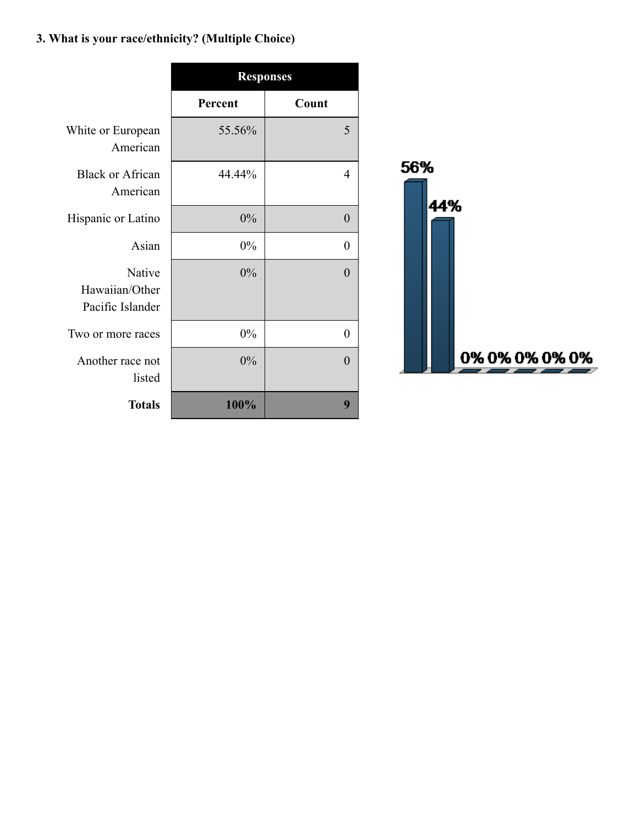# **3. What is your race/ethnicity? (Multiple Choice)**

|                                              | <b>Responses</b> |          |
|----------------------------------------------|------------------|----------|
|                                              | Percent          | Count    |
| White or European<br>American                | 55.56%           | 5        |
| <b>Black or African</b><br>American          | 44.44%           | 4        |
| Hispanic or Latino                           | $0\%$            | $\theta$ |
| Asian                                        | $0\%$            | $\theta$ |
| Native<br>Hawaiian/Other<br>Pacific Islander | 0%               | $\Omega$ |
| Two or more races                            | 0%               | $\theta$ |
| Another race not<br>listed                   | 0%               | 0        |
| <b>Totals</b>                                | 100%             | 9        |

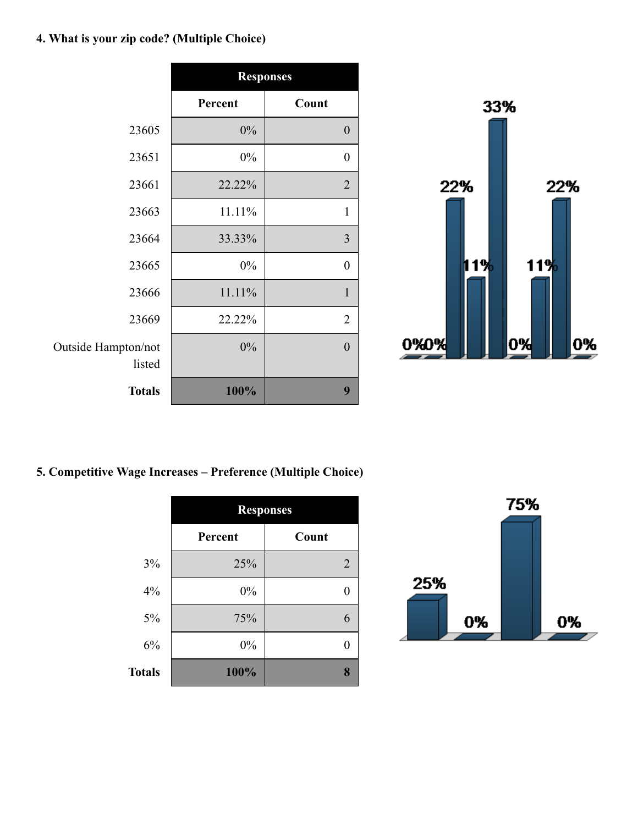# **4. What is your zip code? (Multiple Choice)**

|                               | <b>Responses</b> |                  |
|-------------------------------|------------------|------------------|
|                               | Percent          | Count            |
| 23605                         | $0\%$            | $\boldsymbol{0}$ |
| 23651                         | 0%               | $\boldsymbol{0}$ |
| 23661                         | 22.22%           | $\overline{2}$   |
| 23663                         | 11.11%           | $\mathbf{1}$     |
| 23664                         | 33.33%           | $\overline{3}$   |
| 23665                         | 0%               | $\boldsymbol{0}$ |
| 23666                         | 11.11%           | $\mathbf{1}$     |
| 23669                         | 22.22%           | $\overline{2}$   |
| Outside Hampton/not<br>listed | 0%               | $\mathbf{0}$     |
| <b>Totals</b>                 | 100%             | 9                |



### **5. Competitive Wage Increases – Preference (Multiple Choice)**

|               | <b>Responses</b> |                |
|---------------|------------------|----------------|
|               | Percent          | Count          |
| 3%            | 25%              | $\overline{2}$ |
| 4%            | 0%               |                |
| 5%            | 75%              | 6              |
| 6%            | 0%               |                |
| <b>Totals</b> | 100%             | 8              |

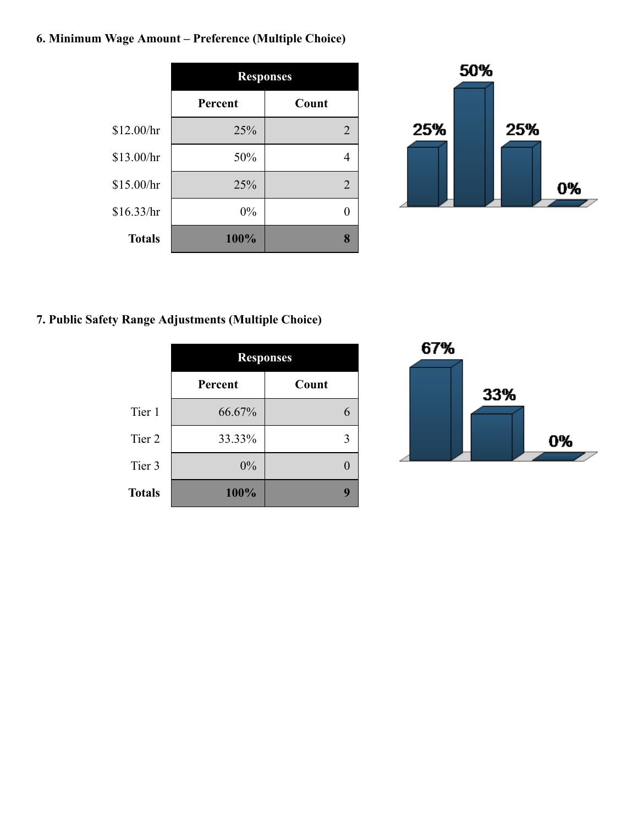# **6. Minimum Wage Amount – Preference (Multiple Choice)**

|               | <b>Responses</b> |                |
|---------------|------------------|----------------|
|               | Percent          | Count          |
| \$12.00/hr    | 25%              | $\overline{2}$ |
| \$13.00/hr    | 50%              |                |
| \$15.00/hr    | 25%              | $\overline{2}$ |
| \$16.33/hr    | 0%               |                |
| <b>Totals</b> | 100%             | 8              |



# **7. Public Safety Range Adjustments (Multiple Choice)**

|               | <b>Responses</b> |       |
|---------------|------------------|-------|
|               | Percent          | Count |
| Tier 1        | 66.67%           |       |
| Tier 2        | 33.33%           |       |
| Tier 3        | 0%               |       |
| <b>Totals</b> | 100%             |       |

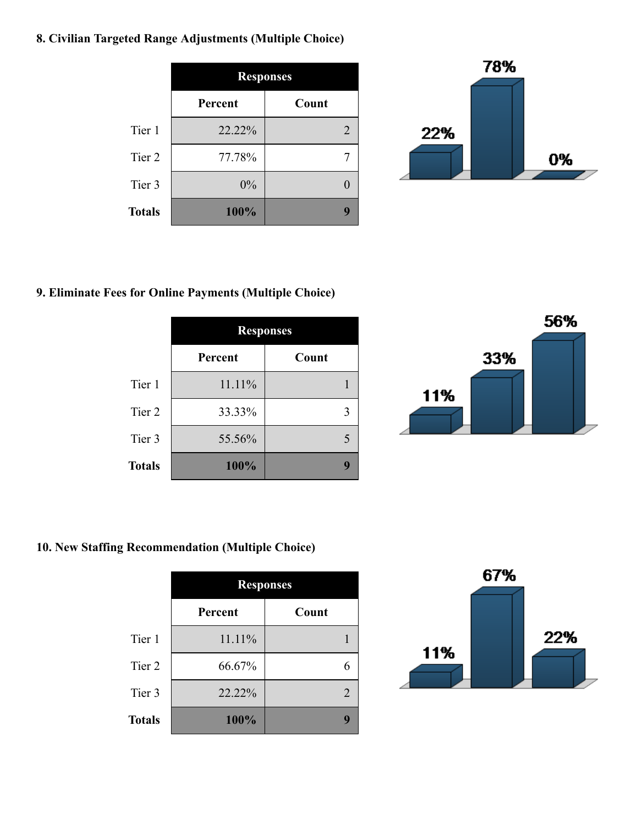### **8. Civilian Targeted Range Adjustments (Multiple Choice)**

|               | <b>Responses</b> |                             |
|---------------|------------------|-----------------------------|
|               | Percent          | Count                       |
| Tier 1        | 22.22%           | $\mathcal{D}_{\mathcal{L}}$ |
| Tier 2        | 77.78%           |                             |
| Tier 3        | 0%               |                             |
| <b>Totals</b> | 100%             |                             |



#### **9. Eliminate Fees for Online Payments (Multiple Choice)**

|               | <b>Responses</b> |       |
|---------------|------------------|-------|
|               | Percent          | Count |
| Tier 1        | 11.11%           |       |
| Tier 2        | 33.33%           |       |
| Tier 3        | 55.56%           |       |
| <b>Totals</b> | 100%             |       |



### **10. New Staffing Recommendation (Multiple Choice)**

|               | <b>Responses</b> |                             |
|---------------|------------------|-----------------------------|
|               | Percent          | Count                       |
| Tier 1        | 11.11%           |                             |
| Tier 2        | 66.67%           |                             |
| Tier 3        | 22.22%           | $\mathcal{D}_{\mathcal{L}}$ |
| <b>Totals</b> | 100%             |                             |

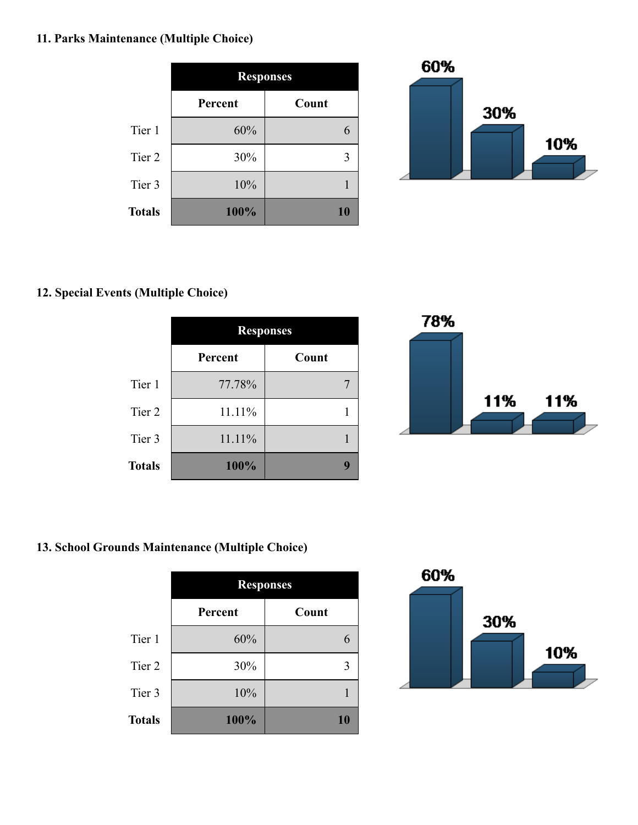### **11. Parks Maintenance (Multiple Choice)**

|               | <b>Responses</b> |       |
|---------------|------------------|-------|
|               | Percent          | Count |
| Tier 1        | 60%              |       |
| Tier 2        | 30%              | 3     |
| Tier 3        | 10%              |       |
| <b>Totals</b> | 100%             | 10    |



#### **12. Special Events (Multiple Choice)**

|               | <b>Responses</b> |       |
|---------------|------------------|-------|
|               | Percent          | Count |
| Tier 1        | 77.78%           |       |
| Tier 2        | 11.11%           |       |
| Tier 3        | 11.11%           |       |
| <b>Totals</b> | 100%             |       |



### **13. School Grounds Maintenance (Multiple Choice)**

|               | <b>Responses</b> |       |
|---------------|------------------|-------|
|               | Percent          | Count |
| Tier 1        | 60%              |       |
| Tier 2        | 30%              | 3     |
| Tier 3        | 10%              |       |
| <b>Totals</b> | 100%             | 10    |

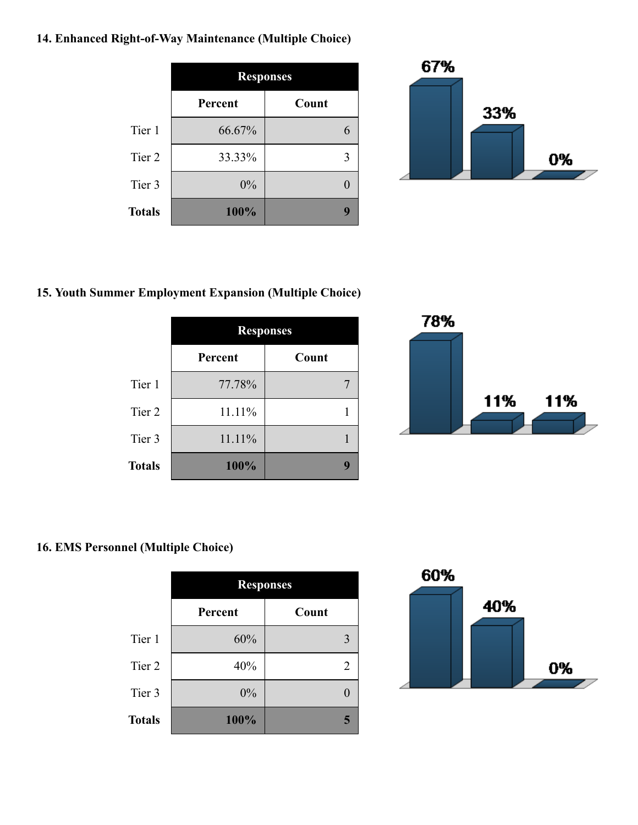### **14. Enhanced Right-of-Way Maintenance (Multiple Choice)**

|               | <b>Responses</b> |       |
|---------------|------------------|-------|
|               | Percent          | Count |
| Tier 1        | 66.67%           |       |
| Tier 2        | 33.33%           | 3     |
| Tier 3        | 0%               |       |
| <b>Totals</b> | 100%             |       |



#### **15. Youth Summer Employment Expansion (Multiple Choice)**

|               | <b>Responses</b> |       |
|---------------|------------------|-------|
|               | Percent          | Count |
| Tier 1        | 77.78%           |       |
| Tier 2        | 11.11%           |       |
| Tier 3        | 11.11%           |       |
| <b>Totals</b> | 100%             |       |



## **16. EMS Personnel (Multiple Choice)**

|               | <b>Responses</b> |       |
|---------------|------------------|-------|
|               | Percent          | Count |
| Tier 1        | 60%              | 3     |
| Tier 2        | 40%              | 2     |
| Tier 3        | 0%               |       |
| <b>Totals</b> | 100%             | 5     |

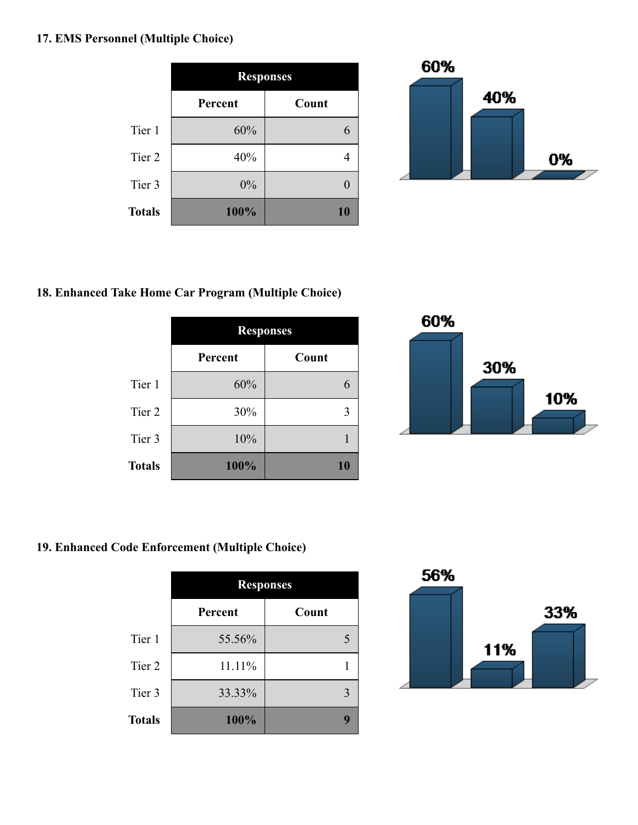### **17. EMS Personnel (Multiple Choice)**

|                   | <b>Responses</b> |       |
|-------------------|------------------|-------|
|                   | Percent          | Count |
| Tier 1            | 60%              |       |
| Tier <sub>2</sub> | 40%              |       |
| Tier 3            | 0%               |       |
| <b>Totals</b>     | 100%             | 10    |



#### **18. Enhanced Take Home Car Program (Multiple Choice)**

|               | <b>Responses</b> |       |
|---------------|------------------|-------|
|               | Percent          | Count |
| Tier 1        | 60%              |       |
| Tier 2        | 30%              |       |
| Tier 3        | 10%              |       |
| <b>Totals</b> | 100%             | 10    |



### **19. Enhanced Code Enforcement (Multiple Choice)**

|               | <b>Responses</b> |       |
|---------------|------------------|-------|
|               | Percent          | Count |
| Tier 1        | 55.56%           | 5     |
| Tier 2        | 11.11%           |       |
| Tier 3        | 33.33%           | 3     |
| <b>Totals</b> | 100%             | ψ     |

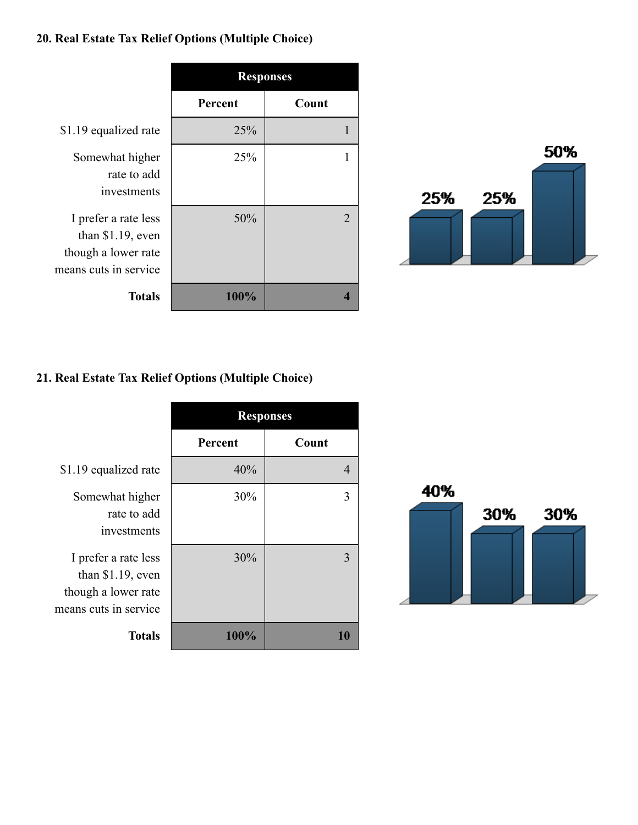### **20. Real Estate Tax Relief Options (Multiple Choice)**





#### **21. Real Estate Tax Relief Options (Multiple Choice)**

|                                                                                           | <b>Responses</b> |       |
|-------------------------------------------------------------------------------------------|------------------|-------|
|                                                                                           | Percent          | Count |
| \$1.19 equalized rate                                                                     | 40%              | 4     |
| Somewhat higher<br>rate to add<br>investments                                             | 30%              | 3     |
| I prefer a rate less<br>than \$1.19, even<br>though a lower rate<br>means cuts in service | 30%              | 3     |
| <b>Totals</b>                                                                             | 100%             |       |